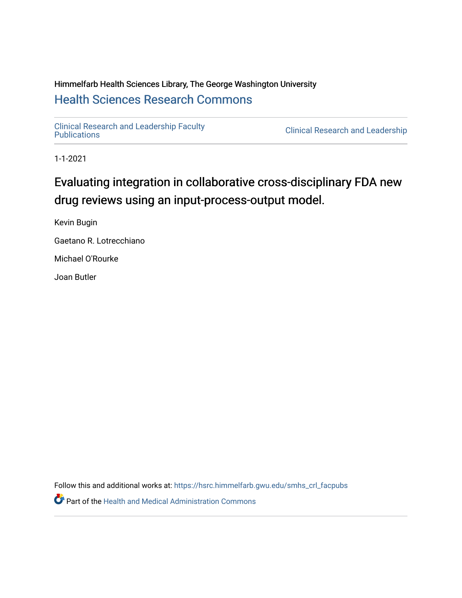## Himmelfarb Health Sciences Library, The George Washington University [Health Sciences Research Commons](https://hsrc.himmelfarb.gwu.edu/)

[Clinical Research and Leadership Faculty](https://hsrc.himmelfarb.gwu.edu/smhs_crl_facpubs) 

**Clinical Research and Leadership** 

1-1-2021

# Evaluating integration in collaborative cross-disciplinary FDA new drug reviews using an input-process-output model.

Kevin Bugin

Gaetano R. Lotrecchiano

Michael O'Rourke

Joan Butler

Follow this and additional works at: [https://hsrc.himmelfarb.gwu.edu/smhs\\_crl\\_facpubs](https://hsrc.himmelfarb.gwu.edu/smhs_crl_facpubs?utm_source=hsrc.himmelfarb.gwu.edu%2Fsmhs_crl_facpubs%2F421&utm_medium=PDF&utm_campaign=PDFCoverPages)

Part of the [Health and Medical Administration Commons](http://network.bepress.com/hgg/discipline/663?utm_source=hsrc.himmelfarb.gwu.edu%2Fsmhs_crl_facpubs%2F421&utm_medium=PDF&utm_campaign=PDFCoverPages)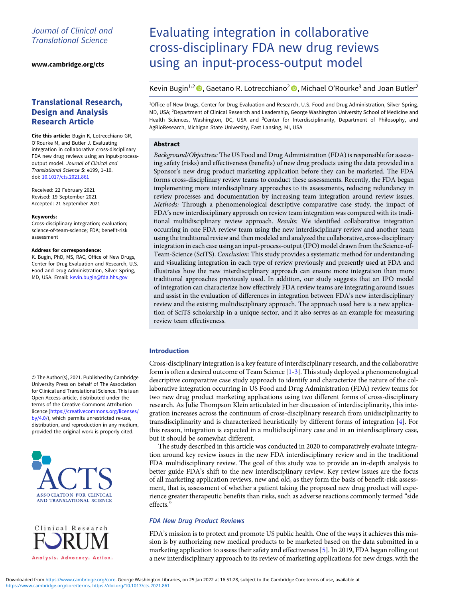## Journal of Clinical and Translational Science

[www.cambridge.org/cts](https://www.cambridge.org/cts)

## Translational Research, Design and Analysis Research Article

Cite this article: Bugin K, Lotrecchiano GR, O'Rourke M, and Butler J. Evaluating integration in collaborative cross-disciplinary FDA new drug reviews using an input-processoutput model. Journal of Clinical and Translational Science 5: e199, 1–10. doi: [10.1017/cts.2021.861](https://doi.org/10.1017/cts.2021.861)

Received: 22 February 2021 Revised: 19 September 2021 Accepted: 21 September 2021

#### Keywords:

Cross-disciplinary integration; evaluation; science-of-team-science; FDA; benefit-risk assessment

#### Address for correspondence:

K. Bugin, PhD, MS, RAC, Office of New Drugs, Center for Drug Evaluation and Research, U.S. Food and Drug Administration, Silver Spring, MD, USA. Email: [kevin.bugin@fda.hhs.gov](mailto:kevin.bugin@fda.hhs.gov)

© The Author(s), 2021. Published by Cambridge University Press on behalf of The Association for Clinical and Translational Science. This is an Open Access article, distributed under the terms of the Creative Commons Attribution licence ([https://creativecommons.org/licenses/](https://creativecommons.org/licenses/by/4.0/) [by/4.0/](https://creativecommons.org/licenses/by/4.0/)), which permits unrestricted re-use, distribution, and reproduction in any medium, provided the original work is properly cited.



Clinical Research Analysis. Advocacy. Action.

# Evaluating integration in collaborative cross-disciplinary FDA new drug reviews using an input-process-output model

Kevin Bugin<sup>1,2</sup>  $\bullet$ , Gaetano R. Lotrecchiano<sup>2</sup>  $\bullet$ , Michael O'Rourke<sup>3</sup> and Joan Butler<sup>2</sup>

<sup>1</sup>Office of New Drugs, Center for Drug Evaluation and Research, U.S. Food and Drug Administration, Silver Spring, MD, USA; <sup>2</sup> Department of Clinical Research and Leadership, George Washington University School of Medicine and Health Sciences, Washington, DC, USA and <sup>3</sup>Center for Interdisciplinarity, Department of Philosophy, and AgBioResearch, Michigan State University, East Lansing, MI, USA

#### **Abstract**

Background/Objectives: The US Food and Drug Administration (FDA) is responsible for assessing safety (risks) and effectiveness (benefits) of new drug products using the data provided in a Sponsor's new drug product marketing application before they can be marketed. The FDA forms cross-disciplinary review teams to conduct these assessments. Recently, the FDA began implementing more interdisciplinary approaches to its assessments, reducing redundancy in review processes and documentation by increasing team integration around review issues. Methods: Through a phenomenological descriptive comparative case study, the impact of FDA's new interdisciplinary approach on review team integration was compared with its traditional multidisciplinary review approach. Results: We identified collaborative integration occurring in one FDA review team using the new interdisciplinary review and another team using the traditional review and then modeled and analyzed the collaborative, cross-disciplinary integration in each case using an input-process-output (IPO) model drawn from the Science-of-Team-Science (SciTS). Conclusion: This study provides a systematic method for understanding and visualizing integration in each type of review previously and presently used at FDA and illustrates how the new interdisciplinary approach can ensure more integration than more traditional approaches previously used. In addition, our study suggests that an IPO model of integration can characterize how effectively FDA review teams are integrating around issues and assist in the evaluation of differences in integration between FDA's new interdisciplinary review and the existing multidisciplinary approach. The approach used here is a new application of SciTS scholarship in a unique sector, and it also serves as an example for measuring review team effectiveness.

#### Introduction

Cross-disciplinary integration is a key feature of interdisciplinary research, and the collaborative form is often a desired outcome of Team Science [[1](#page-10-0)-[3](#page-10-0)]. This study deployed a phenomenological descriptive comparative case study approach to identify and characterize the nature of the collaborative integration occurring in US Food and Drug Administration (FDA) review teams for two new drug product marketing applications using two different forms of cross-disciplinary research. As Julie Thompson Klein articulated in her discussion of interdisciplinarity, this integration increases across the continuum of cross-disciplinary research from unidisciplinarity to transdisciplinarity and is characterized heuristically by different forms of integration [[4\]](#page-10-0). For this reason, integration is expected in a multidisciplinary case and in an interdisciplinary case, but it should be somewhat different.

The study described in this article was conducted in 2020 to comparatively evaluate integration around key review issues in the new FDA interdisciplinary review and in the traditional FDA multidisciplinary review. The goal of this study was to provide an in-depth analysis to better guide FDA's shift to the new interdisciplinary review. Key review issues are the focus of all marketing application reviews, new and old, as they form the basis of benefit-risk assessment, that is, assessment of whether a patient taking the proposed new drug product will experience greater therapeutic benefits than risks, such as adverse reactions commonly termed "side effects."

### FDA New Drug Product Reviews

FDA's mission is to protect and promote US public health. One of the ways it achieves this mission is by authorizing new medical products to be marketed based on the data submitted in a marketing application to assess their safety and effectiveness [\[5\]](#page-10-0). In 2019, FDA began rolling out a new interdisciplinary approach to its review of marketing applications for new drugs, with the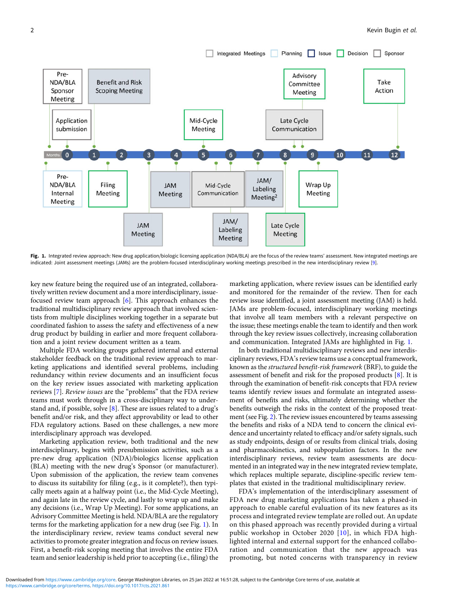

Fig. 1. Integrated review approach: New drug application/biologic licensing application (NDA/BLA) are the focus of the review teams' assessment. New integrated meetings are indicated: Joint assessment meetings (JAMs) are the problem-focused interdisciplinary working meetings prescribed in the new interdisciplinary review [\[9](#page-10-0)].

key new feature being the required use of an integrated, collaboratively written review document and a more interdisciplinary, issuefocused review team approach [[6\]](#page-10-0). This approach enhances the traditional multidisciplinary review approach that involved scientists from multiple disciplines working together in a separate but coordinated fashion to assess the safety and effectiveness of a new drug product by building in earlier and more frequent collaboration and a joint review document written as a team.

Multiple FDA working groups gathered internal and external stakeholder feedback on the traditional review approach to marketing applications and identified several problems, including redundancy within review documents and an insufficient focus on the key review issues associated with marketing application reviews [\[7\]](#page-10-0). Review issues are the "problems" that the FDA review teams must work through in a cross-disciplinary way to understand and, if possible, solve [[8\]](#page-10-0). These are issues related to a drug's benefit and/or risk, and they affect approvability or lead to other FDA regulatory actions. Based on these challenges, a new more interdisciplinary approach was developed.

Marketing application review, both traditional and the new interdisciplinary, begins with presubmission activities, such as a pre-new drug application (NDA)/biologics license application (BLA) meeting with the new drug's Sponsor (or manufacturer). Upon submission of the application, the review team convenes to discuss its suitability for filing (e.g., is it complete?), then typically meets again at a halfway point (i.e., the Mid-Cycle Meeting), and again late in the review cycle, and lastly to wrap up and make any decisions (i.e., Wrap Up Meeting). For some applications, an Advisory Committee Meeting is held. NDA/BLA are the regulatory terms for the marketing application for a new drug (see Fig. 1). In the interdisciplinary review, review teams conduct several new activities to promote greater integration and focus on review issues. First, a benefit-risk scoping meeting that involves the entire FDA team and senior leadership is held prior to accepting (i.e., filing) the

marketing application, where review issues can be identified early and monitored for the remainder of the review. Then for each review issue identified, a joint assessment meeting (JAM) is held. JAMs are problem-focused, interdisciplinary working meetings that involve all team members with a relevant perspective on the issue; these meetings enable the team to identify and then work through the key review issues collectively, increasing collaboration and communication. Integrated JAMs are highlighted in Fig. 1.

In both traditional multidisciplinary reviews and new interdisciplinary reviews, FDA's review teams use a conceptual framework, known as the structured benefit-risk framework (BRF), to guide the assessment of benefit and risk for the proposed products [\[8\]](#page-10-0). It is through the examination of benefit-risk concepts that FDA review teams identify review issues and formulate an integrated assessment of benefits and risks, ultimately determining whether the benefits outweigh the risks in the context of the proposed treatment (see Fig. [2](#page-3-0)). The review issues encountered by teams assessing the benefits and risks of a NDA tend to concern the clinical evidence and uncertainty related to efficacy and/or safety signals, such as study endpoints, design of or results from clinical trials, dosing and pharmacokinetics, and subpopulation factors. In the new interdisciplinary reviews, review team assessments are documented in an integrated way in the new integrated review template, which replaces multiple separate, discipline-specific review templates that existed in the traditional multidisciplinary review.

FDA's implementation of the interdisciplinary assessment of FDA new drug marketing applications has taken a phased-in approach to enable careful evaluation of its new features as its process and integrated review template are rolled out. An update on this phased approach was recently provided during a virtual public workshop in October 2020 [\[10](#page-10-0)], in which FDA highlighted internal and external support for the enhanced collaboration and communication that the new approach was promoting, but noted concerns with transparency in review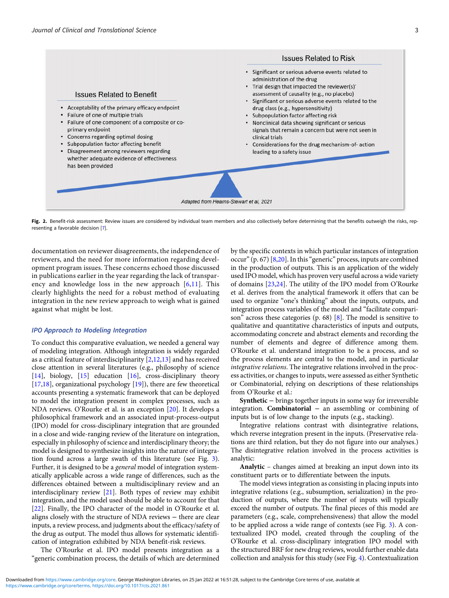<span id="page-3-0"></span>

Fig. 2. Benefit-risk assessment: Review issues are considered by individual team members and also collectively before determining that the benefits outweigh the risks, representing a favorable decision [\[7\]](#page-10-0).

documentation on reviewer disagreements, the independence of reviewers, and the need for more information regarding development program issues. These concerns echoed those discussed in publications earlier in the year regarding the lack of transparency and knowledge loss in the new approach  $[6,11]$  $[6,11]$  $[6,11]$  $[6,11]$  $[6,11]$ . This clearly highlights the need for a robust method of evaluating integration in the new review approach to weigh what is gained against what might be lost.

#### IPO Approach to Modeling Integration

To conduct this comparative evaluation, we needed a general way of modeling integration. Although integration is widely regarded as a critical feature of interdisciplinarity [\[2,12,13](#page-10-0)] and has received close attention in several literatures (e.g., philosophy of science [\[14](#page-10-0)], biology, [\[15](#page-10-0)] education [\[16](#page-10-0)], cross-disciplinary theory [\[17,18\]](#page-10-0), organizational psychology  $[19]$  $[19]$ ], there are few theoretical accounts presenting a systematic framework that can be deployed to model the integration present in complex processes, such as NDA reviews. O'Rourke et al. is an exception [\[20\]](#page-10-0). It develops a philosophical framework and an associated input-process-output (IPO) model for cross-disciplinary integration that are grounded in a close and wide-ranging review of the literature on integration, especially in philosophy of science and interdisciplinary theory; the model is designed to synthesize insights into the nature of integration found across a large swath of this literature (see Fig. [3\)](#page-4-0). Further, it is designed to be a general model of integration systematically applicable across a wide range of differences, such as the differences obtained between a multidisciplinary review and an interdisciplinary review [\[21](#page-10-0)]. Both types of review may exhibit integration, and the model used should be able to account for that [\[22](#page-10-0)]. Finally, the IPO character of the model in O'Rourke et al. aligns closely with the structure of NDA reviews − there are clear inputs, a review process, and judgments about the efficacy/safety of the drug as output. The model thus allows for systematic identification of integration exhibited by NDA benefit-risk reviews.

The O'Rourke et al. IPO model presents integration as a "generic combination process, the details of which are determined by the specific contexts in which particular instances of integration occur" (p. 67)  $[8,20]$  $[8,20]$ . In this "generic" process, inputs are combined in the production of outputs. This is an application of the widely used IPO model, which has proven very useful across a wide variety of domains [\[23,24](#page-10-0)]. The utility of the IPO model from O'Rourke et al. derives from the analytical framework it offers that can be used to organize "one's thinking" about the inputs, outputs, and integration process variables of the model and "facilitate comparison" across these categories (p. 68) [\[8\]](#page-10-0). The model is sensitive to qualitative and quantitative characteristics of inputs and outputs, accommodating concrete and abstract elements and recording the number of elements and degree of difference among them. O'Rourke et al. understand integration to be a process, and so the process elements are central to the model, and in particular integrative relations. The integrative relations involved in the process activities, or changes to inputs, were assessed as either Synthetic or Combinatorial, relying on descriptions of these relationships from O'Rourke et al.:

Synthetic − brings together inputs in some way for irreversible integration. Combinatorial − an assembling or combining of inputs but is of low change to the inputs (e.g., stacking).

Integrative relations contrast with disintegrative relations, which reverse integration present in the inputs. (Preservative relations are third relation, but they do not figure into our analyses.) The disintegrative relation involved in the process activities is analytic:

Analytic – changes aimed at breaking an input down into its constituent parts or to differentiate between the inputs.

The model views integration as consisting in placing inputs into integrative relations (e.g., subsumption, serialization) in the production of outputs, where the number of inputs will typically exceed the number of outputs. The final pieces of this model are parameters (e.g., scale, comprehensiveness) that allow the model to be applied across a wide range of contexts (see Fig. [3](#page-4-0)). A contextualized IPO model, created through the coupling of the O'Rourke et al. cross-disciplinary integration IPO model with the structured BRF for new drug reviews, would further enable data collection and analysis for this study (see Fig. [4](#page-4-0)). Contextualization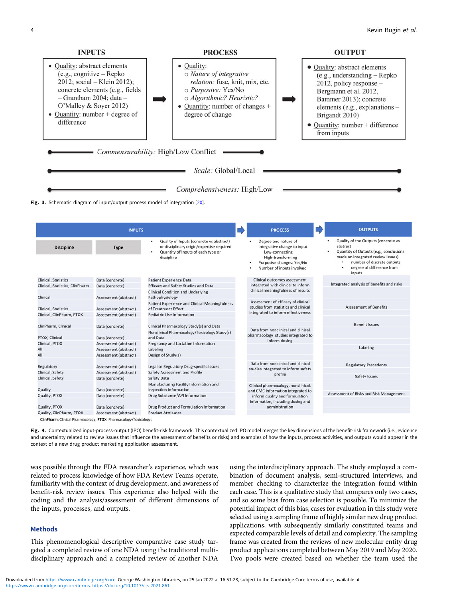<span id="page-4-0"></span>

Fig. 3. Schematic diagram of input/output process model of integration [\[20](#page-10-0)].

|                                 | <b>INPUTS</b>                                  |                                                                                                                                                |                                                                                                            | <b>PROCESS</b>                                                                                                                                       |                                         | <b>OUTPUTS</b>                                                                                                                                                                                                |
|---------------------------------|------------------------------------------------|------------------------------------------------------------------------------------------------------------------------------------------------|------------------------------------------------------------------------------------------------------------|------------------------------------------------------------------------------------------------------------------------------------------------------|-----------------------------------------|---------------------------------------------------------------------------------------------------------------------------------------------------------------------------------------------------------------|
| <b>Discipline</b>               | <b>Type</b>                                    | Quality of Inputs (concrete vs abstract)<br>٠<br>or disciplinary origin/expertise required<br>Quantity of Inputs of each type or<br>discipline |                                                                                                            | Degree and nature of<br>integrative change to input<br>Low-connecting<br>High-transforming<br>Purposive changes: Yes/No<br>Number of inputs involved |                                         | Quality of the Outputs (concrete vs<br>٠<br>abstract<br>Quantity of Outputs (e.g., conclusions<br>٠<br>made on integrated review issues)<br>number of discrete outputs<br>degree of difference from<br>inputs |
| Clinical, Statistics            | Data (concrete)                                | <b>Patient Experience Data</b>                                                                                                                 | Clinical outcomes assessment                                                                               |                                                                                                                                                      |                                         |                                                                                                                                                                                                               |
| Clinical, Statistics, ClinPharm | Data (concrete)                                | <b>Efficacy and Safety Studies and Data</b>                                                                                                    |                                                                                                            | integrated with clinical to inform                                                                                                                   |                                         | Integrated analysis of benefits and risks                                                                                                                                                                     |
| Clinical                        | Assessment (abstract)                          | <b>Clinical Condition and Underlying</b><br>Pathophysiology                                                                                    | clinical meaningfulness of results                                                                         |                                                                                                                                                      |                                         |                                                                                                                                                                                                               |
| <b>Clinical, Statistics</b>     | Assessment (abstract)                          | <b>Patient Experience and Clinical Meaningfulness</b><br>of Treatment Effect                                                                   | Assessment of efficacy of clinical<br>studies from statistics and clinical                                 |                                                                                                                                                      | <b>Assessment of Benefits</b>           |                                                                                                                                                                                                               |
| Clinical, ClinPharm, PTOX       | Assessment (abstract)                          | <b>Pediatric Use Information</b>                                                                                                               |                                                                                                            | integrated to inform effectiveness                                                                                                                   |                                         |                                                                                                                                                                                                               |
| ClinPharm, Clinical             | Data (concrete)                                | Clinical Pharmacology Study(s) and Data                                                                                                        |                                                                                                            |                                                                                                                                                      |                                         | <b>Benefit Issues</b>                                                                                                                                                                                         |
| PTOX, Clinical                  | Data (concrete)                                | Nonclinical Pharmacology/Toxicology Study(s)<br>and Data                                                                                       | Data from nonclinical and clinical<br>pharmacology studies integrated to<br>inform dosing                  |                                                                                                                                                      |                                         |                                                                                                                                                                                                               |
| Clinical, PTOX                  | Assessment (abstract)                          | Pregnancy and Lactation Information                                                                                                            |                                                                                                            |                                                                                                                                                      |                                         | Labeling                                                                                                                                                                                                      |
| All                             | Assessment (abstract)                          | Labeling                                                                                                                                       |                                                                                                            |                                                                                                                                                      |                                         |                                                                                                                                                                                                               |
| All                             | Assessment (abstract)                          | Design of Study(s)                                                                                                                             |                                                                                                            |                                                                                                                                                      |                                         |                                                                                                                                                                                                               |
| Regulatory<br>Clinical, Safety  | Assessment (abstract)<br>Assessment (abstract) | Legal or Regulatory Drug-specific Issues<br><b>Safety Assessment and Profile</b>                                                               | Data from nonclinical and clinical<br>studies integrated to inform safety<br>profile                       |                                                                                                                                                      | <b>Regulatory Precedents</b>            |                                                                                                                                                                                                               |
| Clinical, Safety                | Data (concrete)                                | <b>Safety Data</b>                                                                                                                             |                                                                                                            |                                                                                                                                                      | Safety Issues                           |                                                                                                                                                                                                               |
| Quality                         | Data (concrete)                                | Manufacturing Facility Information and<br><b>Inspection Information</b>                                                                        | Clinical pharmacology, nonclinical,<br>and CMC information integrated to<br>inform quality and formulation |                                                                                                                                                      |                                         |                                                                                                                                                                                                               |
| Quality, PTOX                   | Data (concrete)                                | Drug Substance/API Information                                                                                                                 |                                                                                                            |                                                                                                                                                      | Assessment of Risks and Risk Management |                                                                                                                                                                                                               |
| Quality, PTOX                   | Data (concrete)                                | Drug Product and Formulation Information                                                                                                       | information, including dosing and<br>administration                                                        |                                                                                                                                                      |                                         |                                                                                                                                                                                                               |
| Quality, ClinPharm, PTOX        | Assessment (abstract)                          | <b>Product Attributes</b>                                                                                                                      |                                                                                                            |                                                                                                                                                      |                                         |                                                                                                                                                                                                               |

Fig. 4. Contextualized input-process-output (IPO) benefit-risk framework: This contextualized IPO model merges the key dimensions of the benefit-risk framework (i.e., evidence and uncertainty related to review issues that influence the assessment of benefits or risks) and examples of how the inputs, process activities, and outputs would appear in the context of a new drug product marketing application assessment.

was possible through the FDA researcher's experience, which was related to process knowledge of how FDA Review Teams operate, familiarity with the context of drug development, and awareness of benefit-risk review issues. This experience also helped with the coding and the analysis/assessment of different dimensions of the inputs, processes, and outputs.

#### Methods

This phenomenological descriptive comparative case study targeted a completed review of one NDA using the traditional multidisciplinary approach and a completed review of another NDA

using the interdisciplinary approach. The study employed a combination of document analysis, semi-structured interviews, and member checking to characterize the integration found within each case. This is a qualitative study that compares only two cases, and so some bias from case selection is possible. To minimize the potential impact of this bias, cases for evaluation in this study were selected using a sampling frame of highly similar new drug product applications, with subsequently similarly constituted teams and expected comparable levels of detail and complexity. The sampling frame was created from the reviews of new molecular entity drug product applications completed between May 2019 and May 2020. Two pools were created based on whether the team used the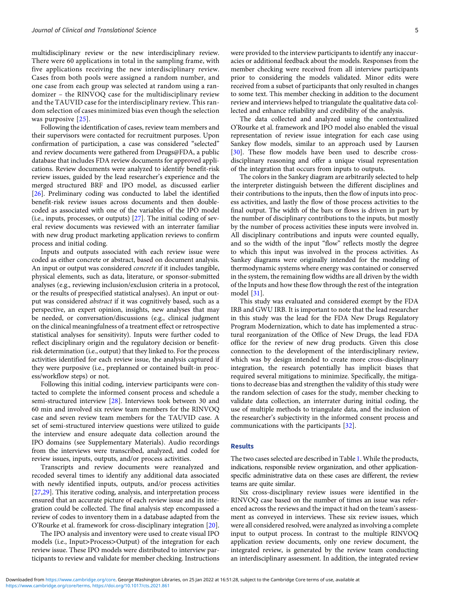multidisciplinary review or the new interdisciplinary review. There were 60 applications in total in the sampling frame, with five applications receiving the new interdisciplinary review. Cases from both pools were assigned a random number, and one case from each group was selected at random using a randomizer – the RINVOQ case for the multidisciplinary review and the TAUVID case for the interdisciplinary review. This random selection of cases minimized bias even though the selection was purposive [[25](#page-10-0)].

Following the identification of cases, review team members and their supervisors were contacted for recruitment purposes. Upon confirmation of participation, a case was considered "selected" and review documents were gathered from Drugs@FDA, a public database that includes FDA review documents for approved applications. Review documents were analyzed to identify benefit-risk review issues, guided by the lead researcher's experience and the merged structured BRF and IPO model, as discussed earlier [\[26](#page-10-0)]. Preliminary coding was conducted to label the identified benefit-risk review issues across documents and then doublecoded as associated with one of the variables of the IPO model (i.e., inputs, processes, or outputs) [\[27](#page-10-0)]. The initial coding of several review documents was reviewed with an interrater familiar with new drug product marketing application reviews to confirm process and initial coding.

Inputs and outputs associated with each review issue were coded as either concrete or abstract, based on document analysis. An input or output was considered concrete if it includes tangible, physical elements, such as data, literature, or sponsor-submitted analyses (e.g., reviewing inclusion/exclusion criteria in a protocol, or the results of prespecified statistical analyses). An input or output was considered abstract if it was cognitively based, such as a perspective, an expert opinion, insights, new analyses that may be needed, or conversation/discussions (e.g., clinical judgment on the clinical meaningfulness of a treatment effect or retrospective statistical analyses for sensitivity). Inputs were further coded to reflect disciplinary origin and the regulatory decision or benefitrisk determination (i.e., output) that they linked to. For the process activities identified for each review issue, the analysis captured if they were purposive (i.e., preplanned or contained built-in process/workflow steps) or not.

Following this initial coding, interview participants were contacted to complete the informed consent process and schedule a semi-structured interview [[28\]](#page-10-0). Interviews took between 30 and 60 min and involved six review team members for the RINVOQ case and seven review team members for the TAUVID case. A set of semi-structured interview questions were utilized to guide the interview and ensure adequate data collection around the IPO domains (see Supplementary Materials). Audio recordings from the interviews were transcribed, analyzed, and coded for review issues, inputs, outputs, and/or process activities.

Transcripts and review documents were reanalyzed and recoded several times to identify any additional data associated with newly identified inputs, outputs, and/or process activities [\[27,29\]](#page-10-0). This iterative coding, analysis, and interpretation process ensured that an accurate picture of each review issue and its integration could be collected. The final analysis step encompassed a review of codes to inventory them in a database adapted from the O'Rourke et al. framework for cross-disciplinary integration [[20\]](#page-10-0).

The IPO analysis and inventory were used to create visual IPO models (i.e., Input>Process>Output) of the integration for each review issue. These IPO models were distributed to interview participants to review and validate for member checking. Instructions were provided to the interview participants to identify any inaccuracies or additional feedback about the models. Responses from the member checking were received from all interview participants prior to considering the models validated. Minor edits were received from a subset of participants that only resulted in changes to some text. This member checking in addition to the document review and interviews helped to triangulate the qualitative data collected and enhance reliability and credibility of the analysis.

The data collected and analyzed using the contextualized O'Rourke et al. framework and IPO model also enabled the visual representation of review issue integration for each case using Sankey flow models, similar to an approach used by Laursen [\[30](#page-10-0)]. These flow models have been used to describe crossdisciplinary reasoning and offer a unique visual representation of the integration that occurs from inputs to outputs.

The colors in the Sankey diagram are arbitrarily selected to help the interpreter distinguish between the different disciplines and their contributions to the inputs, then the flow of inputs into process activities, and lastly the flow of those process activities to the final output. The width of the bars or flows is driven in part by the number of disciplinary contributions to the inputs, but mostly by the number of process activities these inputs were involved in. All disciplinary contributions and inputs were counted equally, and so the width of the input "flow" reflects mostly the degree to which this input was involved in the process activities. As Sankey diagrams were originally intended for the modeling of thermodynamic systems where energy was contained or conserved in the system, the remaining flow widths are all driven by the width of the Inputs and how these flow through the rest of the integration model [[31](#page-10-0)].

This study was evaluated and considered exempt by the FDA IRB and GWU IRB. It is important to note that the lead researcher in this study was the lead for the FDA New Drugs Regulatory Program Modernization, which to date has implemented a structural reorganization of the Office of New Drugs, the lead FDA office for the review of new drug products. Given this close connection to the development of the interdisciplinary review, which was by design intended to create more cross-disciplinary integration, the research potentially has implicit biases that required several mitigations to minimize. Specifically, the mitigations to decrease bias and strengthen the validity of this study were the random selection of cases for the study, member checking to validate data collection, an interrater during initial coding, the use of multiple methods to triangulate data, and the inclusion of the researcher's subjectivity in the informed consent process and communications with the participants [\[32](#page-10-0)].

#### Results

The two cases selected are described in Table [1.](#page-6-0) While the products, indications, responsible review organization, and other applicationspecific administrative data on these cases are different, the review teams are quite similar.

Six cross-disciplinary review issues were identified in the RINVOQ case based on the number of times an issue was referenced across the reviews and the impact it had on the team's assessment as conveyed in interviews. These six review issues, which were all considered resolved, were analyzed as involving a complete input to output process. In contrast to the multiple RINVOQ application review documents, only one review document, the integrated review, is generated by the review team conducting an interdisciplinary assessment. In addition, the integrated review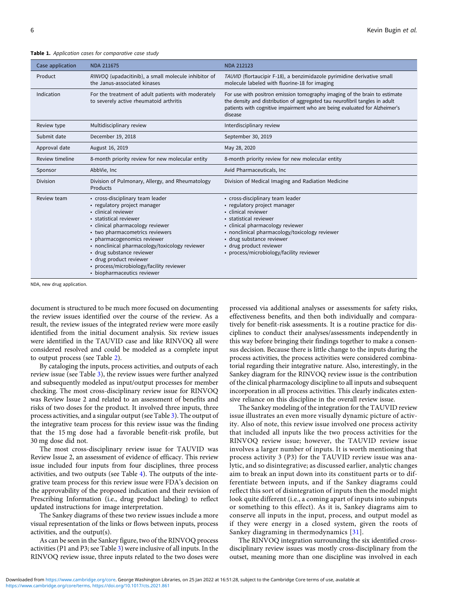<span id="page-6-0"></span>Table 1. Application cases for comparative case study

| Case application | <b>NDA 211675</b>                                                                                                                                                                                                                                                                                                                                                                                            | <b>NDA 212123</b>                                                                                                                                                                                                                                                                                       |
|------------------|--------------------------------------------------------------------------------------------------------------------------------------------------------------------------------------------------------------------------------------------------------------------------------------------------------------------------------------------------------------------------------------------------------------|---------------------------------------------------------------------------------------------------------------------------------------------------------------------------------------------------------------------------------------------------------------------------------------------------------|
| Product          | RINVOQ (upadacitinib), a small molecule inhibitor of<br>the Janus-associated kinases                                                                                                                                                                                                                                                                                                                         | TAUVID (flortaucipir F-18), a benzimidazole pyrimidine derivative small<br>molecule labeled with fluorine-18 for imaging                                                                                                                                                                                |
| Indication       | For the treatment of adult patients with moderately<br>to severely active rheumatoid arthritis                                                                                                                                                                                                                                                                                                               | For use with positron emission tomography imaging of the brain to estimate<br>the density and distribution of aggregated tau neurofibril tangles in adult<br>patients with cognitive impairment who are being evaluated for Alzheimer's<br>disease                                                      |
| Review type      | Multidisciplinary review                                                                                                                                                                                                                                                                                                                                                                                     | Interdisciplinary review                                                                                                                                                                                                                                                                                |
| Submit date      | December 19, 2018                                                                                                                                                                                                                                                                                                                                                                                            | September 30, 2019                                                                                                                                                                                                                                                                                      |
| Approval date    | August 16, 2019                                                                                                                                                                                                                                                                                                                                                                                              | May 28, 2020                                                                                                                                                                                                                                                                                            |
| Review timeline  | 8-month priority review for new molecular entity                                                                                                                                                                                                                                                                                                                                                             | 8-month priority review for new molecular entity                                                                                                                                                                                                                                                        |
| Sponsor          | AbbVie, Inc                                                                                                                                                                                                                                                                                                                                                                                                  | Avid Pharmaceuticals, Inc.                                                                                                                                                                                                                                                                              |
| <b>Division</b>  | Division of Pulmonary, Allergy, and Rheumatology<br>Products                                                                                                                                                                                                                                                                                                                                                 | Division of Medical Imaging and Radiation Medicine                                                                                                                                                                                                                                                      |
| Review team      | • cross-disciplinary team leader<br>• regulatory project manager<br>· clinical reviewer<br>· statistical reviewer<br>· clinical pharmacology reviewer<br>• two pharmacometrics reviewers<br>• pharmacogenomics reviewer<br>• nonclinical pharmacology/toxicology reviewer<br>· drug substance reviewer<br>· drug product reviewer<br>• process/microbiology/facility reviewer<br>· biopharmaceutics reviewer | • cross-disciplinary team leader<br>• regulatory project manager<br>clinical reviewer<br>statistical reviewer<br>• clinical pharmacology reviewer<br>• nonclinical pharmacology/toxicology reviewer<br>· drug substance reviewer<br>· drug product reviewer<br>• process/microbiology/facility reviewer |

NDA, new drug application.

document is structured to be much more focused on documenting the review issues identified over the course of the review. As a result, the review issues of the integrated review were more easily identified from the initial document analysis. Six review issues were identified in the TAUVID case and like RINVOQ all were considered resolved and could be modeled as a complete input to output process (see Table [2](#page-7-0)).

By cataloging the inputs, process activities, and outputs of each review issue (see Table [3\)](#page-7-0), the review issues were further analyzed and subsequently modeled as input/output processes for member checking. The most cross-disciplinary review issue for RINVOQ was Review Issue 2 and related to an assessment of benefits and risks of two doses for the product. It involved three inputs, three process activities, and a singular output (see Table [3](#page-7-0)). The output of the integrative team process for this review issue was the finding that the 15 mg dose had a favorable benefit-risk profile, but 30 mg dose did not.

The most cross-disciplinary review issue for TAUVID was Review Issue 2, an assessment of evidence of efficacy. This review issue included four inputs from four disciplines, three process activities, and two outputs (see Table [4\)](#page-8-0). The outputs of the integrative team process for this review issue were FDA's decision on the approvability of the proposed indication and their revision of Prescribing Information (i.e., drug product labeling) to reflect updated instructions for image interpretation.

The Sankey diagrams of these two review issues include a more visual representation of the links or flows between inputs, process activities, and the output(s).

As can be seen in the Sankey figure, two of the RINVOQ process activities (P1 and P3; see Table [3](#page-7-0)) were inclusive of all inputs. In the RINVOQ review issue, three inputs related to the two doses were processed via additional analyses or assessments for safety risks, effectiveness benefits, and then both individually and comparatively for benefit-risk assessments. It is a routine practice for disciplines to conduct their analyses/assessments independently in this way before bringing their findings together to make a consensus decision. Because there is little change to the inputs during the process activities, the process activities were considered combinatorial regarding their integrative nature. Also, interestingly, in the Sankey diagram for the RINVOQ review issue is the contribution of the clinical pharmacology discipline to all inputs and subsequent incorporation in all process activities. This clearly indicates extensive reliance on this discipline in the overall review issue.

The Sankey modeling of the integration for the TAUVID review issue illustrates an even more visually dynamic picture of activity. Also of note, this review issue involved one process activity that included all inputs like the two process activities for the RINVOQ review issue; however, the TAUVID review issue involves a larger number of inputs. It is worth mentioning that process activity 3 (P3) for the TAUVID review issue was analytic, and so disintegrative; as discussed earlier, analytic changes aim to break an input down into its constituent parts or to differentiate between inputs, and if the Sankey diagrams could reflect this sort of disintegration of inputs then the model might look quite different (i.e., a coming apart of inputs into subinputs or something to this effect). As it is, Sankey diagrams aim to conserve all inputs in the input, process, and output model as if they were energy in a closed system, given the roots of Sankey diagraming in thermodynamics [\[31\]](#page-10-0).

The RINVOQ integration surrounding the six identified crossdisciplinary review issues was mostly cross-disciplinary from the outset, meaning more than one discipline was involved in each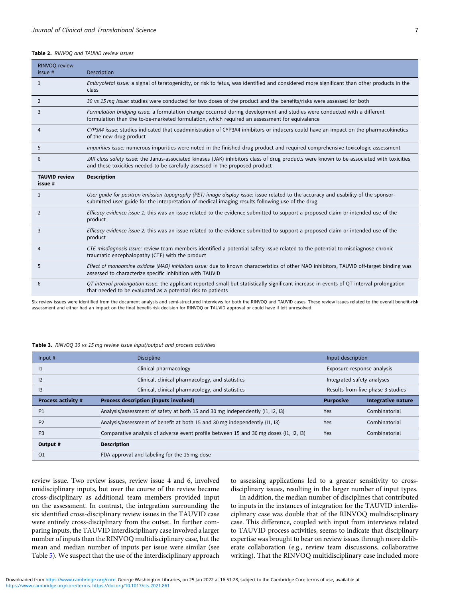#### <span id="page-7-0"></span>Table 2. RINVOQ and TAUVID review issues

| RINVOQ review<br>issue #        | Description                                                                                                                                                                                                                            |
|---------------------------------|----------------------------------------------------------------------------------------------------------------------------------------------------------------------------------------------------------------------------------------|
| 1                               | Embryofetal issue: a signal of teratogenicity, or risk to fetus, was identified and considered more significant than other products in the<br>class                                                                                    |
| $\overline{2}$                  | 30 vs 15 mg Issue: studies were conducted for two doses of the product and the benefits/risks were assessed for both                                                                                                                   |
| 3                               | Formulation bridging issue: a formulation change occurred during development and studies were conducted with a different<br>formulation than the to-be-marketed formulation, which required an assessment for equivalence              |
| 4                               | CYP3A4 issue: studies indicated that coadministration of CYP3A4 inhibitors or inducers could have an impact on the pharmacokinetics<br>of the new drug product                                                                         |
| 5                               | Impurities issue: numerous impurities were noted in the finished drug product and required comprehensive toxicologic assessment                                                                                                        |
| 6                               | JAK class safety issue: the Janus-associated kinases (JAK) inhibitors class of drug products were known to be associated with toxicities<br>and these toxicities needed to be carefully assessed in the proposed product               |
| <b>TAUVID review</b><br>issue # | <b>Description</b>                                                                                                                                                                                                                     |
| 1                               | User guide for positron emission topography (PET) image display issue: issue related to the accuracy and usability of the sponsor-<br>submitted user guide for the interpretation of medical imaging results following use of the drug |
| $\overline{2}$                  | Efficacy evidence issue 1: this was an issue related to the evidence submitted to support a proposed claim or intended use of the<br>product                                                                                           |
| 3                               | Efficacy evidence issue 2: this was an issue related to the evidence submitted to support a proposed claim or intended use of the<br>product                                                                                           |
| 4                               | CTE misdiagnosis Issue: review team members identified a potential safety issue related to the potential to misdiagnose chronic<br>traumatic encephalopathy (CTE) with the product                                                     |
| 5                               | Effect of monoamine oxidase (MAO) inhibitors issue: due to known characteristics of other MAO inhibitors, TAUVID off-target binding was<br>assessed to characterize specific inhibition with TAUVID                                    |
| 6                               | QT interval prolongation issue: the applicant reported small but statistically significant increase in events of QT interval prolongation<br>that needed to be evaluated as a potential risk to patients                               |

Six review issues were identified from the document analysis and semi-structured interviews for both the RINVOQ and TAUVID cases. These review issues related to the overall benefit-risk assessment and either had an impact on the final benefit-risk decision for RINVOQ or TAUVID approval or could have if left unresolved.

#### Table 3. RINVOQ 30 vs 15 mg review issue input/output and process activities

| Input $#$                 | <b>Discipline</b>                                                                     | Input description |                                   |  |
|---------------------------|---------------------------------------------------------------------------------------|-------------------|-----------------------------------|--|
| 1                         | Clinical pharmacology                                                                 |                   | Exposure-response analysis        |  |
| 12                        | Clinical, clinical pharmacology, and statistics                                       |                   | Integrated safety analyses        |  |
| $\overline{3}$            | Clinical, clinical pharmacology, and statistics                                       |                   | Results from five phase 3 studies |  |
| <b>Process activity #</b> | Process description (inputs involved)                                                 | <b>Purposive</b>  | <b>Integrative nature</b>         |  |
| P1                        | Analysis/assessment of safety at both 15 and 30 mg independently (I1, I2, I3)         | Yes               | Combinatorial                     |  |
| P <sub>2</sub>            | Analysis/assessment of benefit at both 15 and 30 mg independently (I1, I3)            | Yes               | Combinatorial                     |  |
| P <sub>3</sub>            | Comparative analysis of adverse event profile between 15 and 30 mg doses (11, 12, 13) | Yes               | Combinatorial                     |  |
| Output #                  | <b>Description</b>                                                                    |                   |                                   |  |
| O <sub>1</sub>            | FDA approval and labeling for the 15 mg dose                                          |                   |                                   |  |

review issue. Two review issues, review issue 4 and 6, involved unidisciplinary inputs, but over the course of the review became cross-disciplinary as additional team members provided input on the assessment. In contrast, the integration surrounding the six identified cross-disciplinary review issues in the TAUVID case were entirely cross-disciplinary from the outset. In further comparing inputs, the TAUVID interdisciplinary case involved a larger number of inputs than the RINVOQ multidisciplinary case, but the mean and median number of inputs per issue were similar (see Table [5\)](#page-8-0). We suspect that the use of the interdisciplinary approach

to assessing applications led to a greater sensitivity to crossdisciplinary issues, resulting in the larger number of input types.

In addition, the median number of disciplines that contributed to inputs in the instances of integration for the TAUVID interdisciplinary case was double that of the RINVOQ multidisciplinary case. This difference, coupled with input from interviews related to TAUVID process activities, seems to indicate that disciplinary expertise was brought to bear on review issues through more deliberate collaboration (e.g., review team discussions, collaborative writing). That the RINVOQ multidisciplinary case included more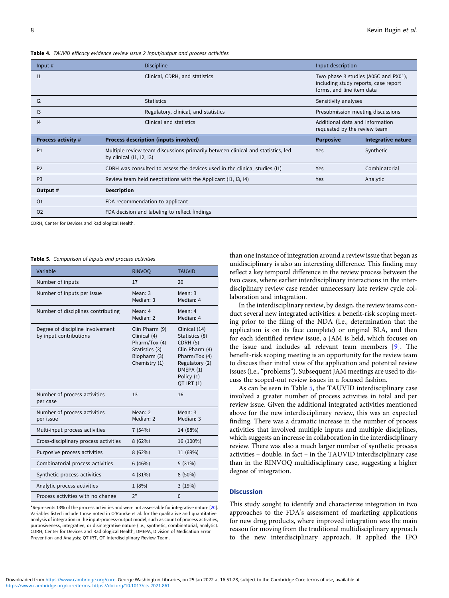#### <span id="page-8-0"></span>Table 4. TAUVID efficacy evidence review issue 2 input/output and process activities

| Input #                   | <b>Discipline</b>                                                                                             | Input description                                                                                         |                    |  |
|---------------------------|---------------------------------------------------------------------------------------------------------------|-----------------------------------------------------------------------------------------------------------|--------------------|--|
| 1                         | Clinical, CDRH, and statistics                                                                                | Two phase 3 studies (A05C and PX01),<br>including study reports, case report<br>forms, and line item data |                    |  |
| 12                        | <b>Statistics</b>                                                                                             | Sensitivity analyses                                                                                      |                    |  |
| $\overline{13}$           | Regulatory, clinical, and statistics                                                                          | Presubmission meeting discussions                                                                         |                    |  |
| 4                         | Clinical and statistics                                                                                       | Additional data and information<br>requested by the review team                                           |                    |  |
| <b>Process activity #</b> | Process description (inputs involved)                                                                         | <b>Purposive</b>                                                                                          | Integrative nature |  |
| P1                        | Multiple review team discussions primarily between clinical and statistics, led<br>by clinical $(11, 12, 13)$ | Yes                                                                                                       | Synthetic          |  |
| P <sub>2</sub>            | CDRH was consulted to assess the devices used in the clinical studies (I1)                                    | Yes                                                                                                       | Combinatorial      |  |
| P <sub>3</sub>            | Review team held negotiations with the Applicant (11, 13, 14)                                                 | Yes                                                                                                       | Analytic           |  |
| Output #                  | <b>Description</b>                                                                                            |                                                                                                           |                    |  |
| O <sub>1</sub>            | FDA recommendation to applicant                                                                               |                                                                                                           |                    |  |
| 02                        | FDA decision and labeling to reflect findings                                                                 |                                                                                                           |                    |  |

CDRH, Center for Devices and Radiological Health.

Table 5. Comparison of inputs and process activities

| Variable                                                   | <b>RINVOO</b>                                                                                      | <b>TAUVID</b>                                                                                                                             |
|------------------------------------------------------------|----------------------------------------------------------------------------------------------------|-------------------------------------------------------------------------------------------------------------------------------------------|
| Number of inputs                                           | 17                                                                                                 | 20                                                                                                                                        |
| Number of inputs per issue                                 | Mean: 3<br>Median: 3                                                                               | Mean: 3<br>Median: 4                                                                                                                      |
| Number of disciplines contributing                         | Mean: 4<br>Median: 2                                                                               | Mean: 4<br>Median: 4                                                                                                                      |
| Degree of discipline involvement<br>by input contributions | Clin Pharm (9)<br>Clinical (4)<br>Pharm/Tox (4)<br>Statistics (3)<br>Biopharm (3)<br>Chemistry (1) | Clinical (14)<br>Statistics (8)<br>CDRH (5)<br>Clin Pharm (4)<br>Pharm/Tox (4)<br>Regulatory (2)<br>DMEPA (1)<br>Policy (1)<br>QT IRT (1) |
| Number of process activities<br>per case                   | 13                                                                                                 | 16                                                                                                                                        |
| Number of process activities<br>per issue                  | Mean: 2<br>Median: 2                                                                               | Mean: $3$<br>Median: 3                                                                                                                    |
| Multi-input process activities                             | 7(54%)                                                                                             | 14 (88%)                                                                                                                                  |
| Cross-disciplinary process activities                      | 8(62%)                                                                                             | 16 (100%)                                                                                                                                 |
| Purposive process activities                               | 8(62%)                                                                                             | 11 (69%)                                                                                                                                  |
| Combinatorial process activities                           | 6(46%)                                                                                             | 5(31%)                                                                                                                                    |
| Synthetic process activities                               | 4(31%)                                                                                             | $8(50\%)$                                                                                                                                 |
| Analytic process activities                                | 1(8%)                                                                                              | 3(19%)                                                                                                                                    |
| Process activities with no change                          | $2^*$                                                                                              | $\Omega$                                                                                                                                  |

\*Represents 13% of the process activities and were not assessable for integrative nature [[20](#page-10-0)]. Variables listed include those noted in O'Rourke et al. for the qualitative and quantitative analysis of integration in the input-process-output model, such as count of process activities, purposiveness, integrative, or disintegrative nature (i.e., synthetic, combinatorial, analytic). CDRH, Center for Devices and Radiological Health; DMEPA, Division of Medication Error Prevention and Analysis; QT IRT, QT Interdisciplinary Review Team.

than one instance of integration around a review issue that began as unidisciplinary is also an interesting difference. This finding may reflect a key temporal difference in the review process between the two cases, where earlier interdisciplinary interactions in the interdisciplinary review case render unnecessary late review cycle collaboration and integration.

In the interdisciplinary review, by design, the review teams conduct several new integrated activities: a benefit-risk scoping meeting prior to the filing of the NDA (i.e., determination that the application is on its face complete) or original BLA, and then for each identified review issue, a JAM is held, which focuses on the issue and includes all relevant team members [[9](#page-10-0)]. The benefit-risk scoping meeting is an opportunity for the review team to discuss their initial view of the application and potential review issues (i.e., "problems"). Subsequent JAM meetings are used to discuss the scoped-out review issues in a focused fashion.

As can be seen in Table 5, the TAUVID interdisciplinary case involved a greater number of process activities in total and per review issue. Given the additional integrated activities mentioned above for the new interdisciplinary review, this was an expected finding. There was a dramatic increase in the number of process activities that involved multiple inputs and multiple disciplines, which suggests an increase in collaboration in the interdisciplinary review. There was also a much larger number of synthetic process activities – double, in fact – in the TAUVID interdisciplinary case than in the RINVOQ multidisciplinary case, suggesting a higher degree of integration.

#### Discussion

This study sought to identify and characterize integration in two approaches to the FDA's assessment of marketing applications for new drug products, where improved integration was the main reason for moving from the traditional multidisciplinary approach to the new interdisciplinary approach. It applied the IPO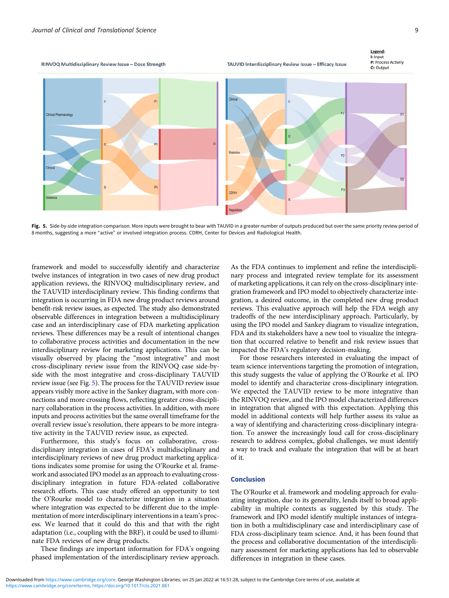TAUVID Interdisciplinary Review Issue - Efficacy Issue





Fig. 5. Side-by-side integration comparison. More inputs were brought to bear with TAUVID in a greater number of outputs produced but over the same priority review period of 8 months, suggesting a more "active" or involved integration process. CDRH, Center for Devices and Radiological Health.

framework and model to successfully identify and characterize twelve instances of integration in two cases of new drug product application reviews, the RINVOQ multidisciplinary review, and the TAUVID interdisciplinary review. This finding confirms that integration is occurring in FDA new drug product reviews around benefit-risk review issues, as expected. The study also demonstrated observable differences in integration between a multidisciplinary case and an interdisciplinary case of FDA marketing application reviews. These differences may be a result of intentional changes to collaborative process activities and documentation in the new interdisciplinary review for marketing applications. This can be visually observed by placing the "most integrative" and most cross-disciplinary review issue from the RINVOQ case side-byside with the most integrative and cross-disciplinary TAUVID review issue (see Fig. 5). The process for the TAUVID review issue appears visibly more active in the Sankey diagram, with more connections and more crossing flows, reflecting greater cross-disciplinary collaboration in the process activities. In addition, with more inputs and process activities but the same overall timeframe for the overall review issue's resolution, there appears to be more integrative activity in the TAUVID review issue, as expected.

Furthermore, this study's focus on collaborative, crossdisciplinary integration in cases of FDA's multidisciplinary and interdisciplinary reviews of new drug product marketing applications indicates some promise for using the O'Rourke et al. framework and associated IPO model as an approach to evaluating crossdisciplinary integration in future FDA-related collaborative research efforts. This case study offered an opportunity to test the O'Rourke model to characterize integration in a situation where integration was expected to be different due to the implementation of more interdisciplinary interventions in a team's process. We learned that it could do this and that with the right adaptation (i.e., coupling with the BRF), it could be used to illuminate FDA reviews of new drug products.

These findings are important information for FDA's ongoing phased implementation of the interdisciplinary review approach. As the FDA continues to implement and refine the interdisciplinary process and integrated review template for its assessment of marketing applications, it can rely on the cross-disciplinary integration framework and IPO model to objectively characterize integration, a desired outcome, in the completed new drug product reviews. This evaluative approach will help the FDA weigh any tradeoffs of the new interdisciplinary approach. Particularly, by using the IPO model and Sankey diagram to visualize integration, FDA and its stakeholders have a new tool to visualize the integration that occurred relative to benefit and risk review issues that impacted the FDA's regulatory decision-making.

For those researchers interested in evaluating the impact of team science interventions targeting the promotion of integration, this study suggests the value of applying the O'Rourke et al. IPO model to identify and characterize cross-disciplinary integration. We expected the TAUVID review to be more integrative than the RINVOQ review, and the IPO model characterized differences in integration that aligned with this expectation. Applying this model in additional contexts will help further assess its value as a way of identifying and characterizing cross-disciplinary integration. To answer the increasingly loud call for cross-disciplinary research to address complex, global challenges, we must identify a way to track and evaluate the integration that will be at heart of it.

#### Conclusion

The O'Rourke et al. framework and modeling approach for evaluating integration, due to its generality, lends itself to broad applicability in multiple contexts as suggested by this study. The framework and IPO model identify multiple instances of integration in both a multidisciplinary case and interdisciplinary case of FDA cross-disciplinary team science. And, it has been found that the process and collaborative documentation of the interdisciplinary assessment for marketing applications has led to observable differences in integration in these cases.